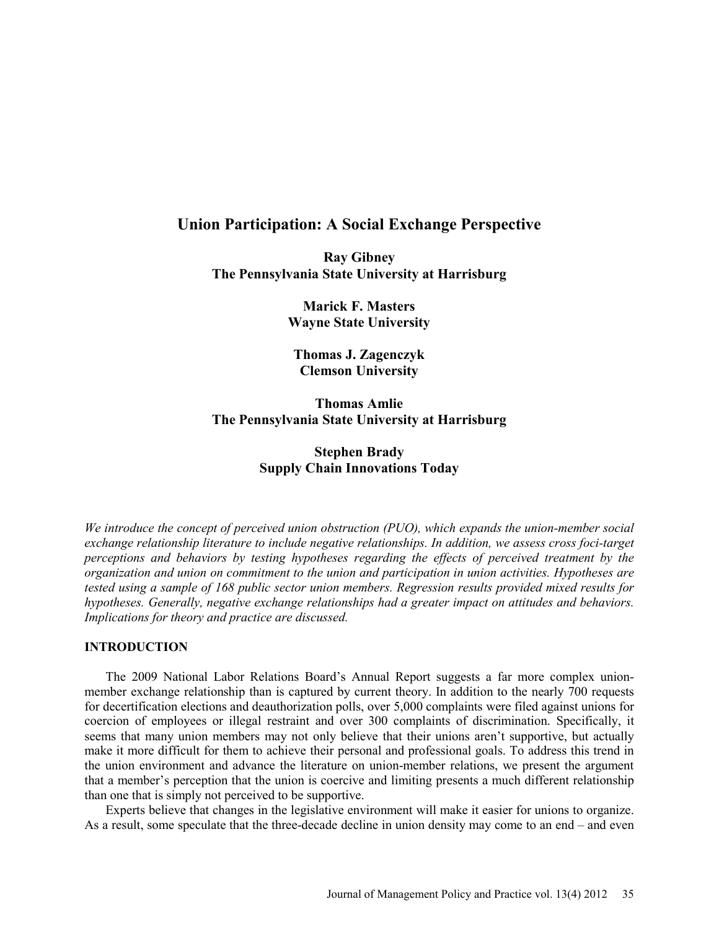# **Union Participation: A Social Exchange Perspective**

**Ray Gibney The Pennsylvania State University at Harrisburg** 

> **Marick F. Masters Wayne State University**

**Thomas J. Zagenczyk Clemson University** 

**Thomas Amlie The Pennsylvania State University at Harrisburg** 

# **Stephen Brady Supply Chain Innovations Today**

*We introduce the concept of perceived union obstruction (PUO), which expands the union-member social exchange relationship literature to include negative relationships. In addition, we assess cross foci-target perceptions and behaviors by testing hypotheses regarding the effects of perceived treatment by the organization and union on commitment to the union and participation in union activities. Hypotheses are tested using a sample of 168 public sector union members. Regression results provided mixed results for hypotheses. Generally, negative exchange relationships had a greater impact on attitudes and behaviors. Implications for theory and practice are discussed.* 

### **INTRODUCTION**

The 2009 National Labor Relations Board's Annual Report suggests a far more complex unionmember exchange relationship than is captured by current theory. In addition to the nearly 700 requests for decertification elections and deauthorization polls, over 5,000 complaints were filed against unions for coercion of employees or illegal restraint and over 300 complaints of discrimination. Specifically, it seems that many union members may not only believe that their unions aren't supportive, but actually make it more difficult for them to achieve their personal and professional goals. To address this trend in the union environment and advance the literature on union-member relations, we present the argument that a member's perception that the union is coercive and limiting presents a much different relationship than one that is simply not perceived to be supportive.

Experts believe that changes in the legislative environment will make it easier for unions to organize. As a result, some speculate that the three-decade decline in union density may come to an end – and even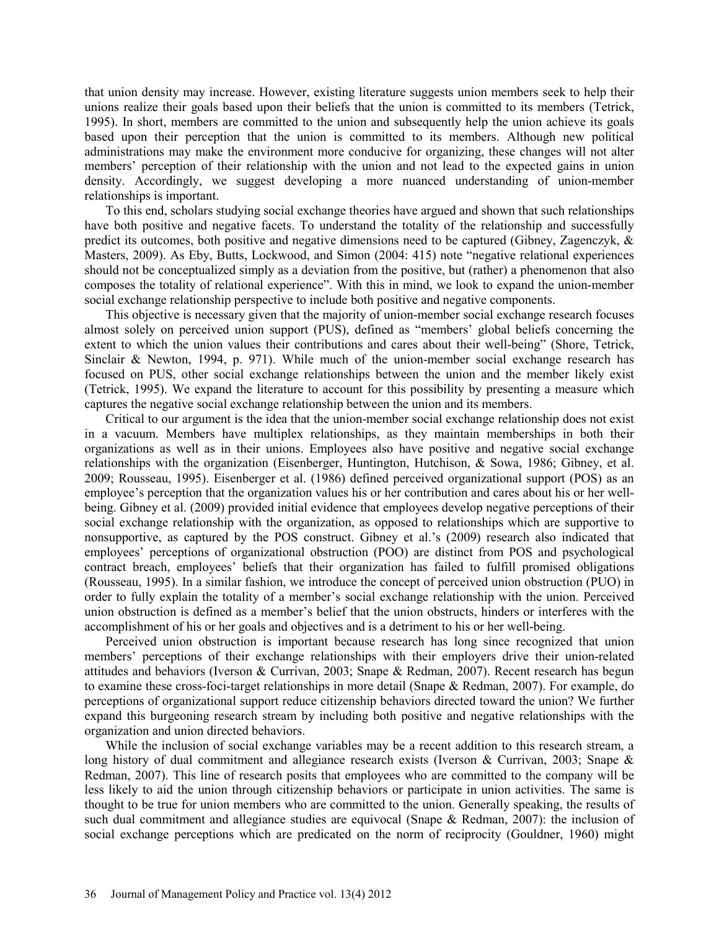that union density may increase. However, existing literature suggests union members seek to help their unions realize their goals based upon their beliefs that the union is committed to its members (Tetrick, 1995). In short, members are committed to the union and subsequently help the union achieve its goals based upon their perception that the union is committed to its members. Although new political administrations may make the environment more conducive for organizing, these changes will not alter members' perception of their relationship with the union and not lead to the expected gains in union density. Accordingly, we suggest developing a more nuanced understanding of union-member relationships is important.

To this end, scholars studying social exchange theories have argued and shown that such relationships have both positive and negative facets. To understand the totality of the relationship and successfully predict its outcomes, both positive and negative dimensions need to be captured (Gibney, Zagenczyk, & Masters, 2009). As Eby, Butts, Lockwood, and Simon (2004: 415) note "negative relational experiences should not be conceptualized simply as a deviation from the positive, but (rather) a phenomenon that also composes the totality of relational experience". With this in mind, we look to expand the union-member social exchange relationship perspective to include both positive and negative components.

This objective is necessary given that the majority of union-member social exchange research focuses almost solely on perceived union support (PUS), defined as "members' global beliefs concerning the extent to which the union values their contributions and cares about their well-being" (Shore, Tetrick, Sinclair & Newton, 1994, p. 971). While much of the union-member social exchange research has focused on PUS, other social exchange relationships between the union and the member likely exist (Tetrick, 1995). We expand the literature to account for this possibility by presenting a measure which captures the negative social exchange relationship between the union and its members.

Critical to our argument is the idea that the union-member social exchange relationship does not exist in a vacuum. Members have multiplex relationships, as they maintain memberships in both their organizations as well as in their unions. Employees also have positive and negative social exchange relationships with the organization (Eisenberger, Huntington, Hutchison, & Sowa, 1986; Gibney, et al. 2009; Rousseau, 1995). Eisenberger et al. (1986) defined perceived organizational support (POS) as an employee's perception that the organization values his or her contribution and cares about his or her wellbeing. Gibney et al. (2009) provided initial evidence that employees develop negative perceptions of their social exchange relationship with the organization, as opposed to relationships which are supportive to nonsupportive, as captured by the POS construct. Gibney et al.'s (2009) research also indicated that employees' perceptions of organizational obstruction (POO) are distinct from POS and psychological contract breach, employees' beliefs that their organization has failed to fulfill promised obligations (Rousseau, 1995). In a similar fashion, we introduce the concept of perceived union obstruction (PUO) in order to fully explain the totality of a member's social exchange relationship with the union. Perceived union obstruction is defined as a member's belief that the union obstructs, hinders or interferes with the accomplishment of his or her goals and objectives and is a detriment to his or her well-being.

Perceived union obstruction is important because research has long since recognized that union members' perceptions of their exchange relationships with their employers drive their union-related attitudes and behaviors (Iverson & Currivan, 2003; Snape & Redman, 2007). Recent research has begun to examine these cross-foci-target relationships in more detail (Snape & Redman, 2007). For example, do perceptions of organizational support reduce citizenship behaviors directed toward the union? We further expand this burgeoning research stream by including both positive and negative relationships with the organization and union directed behaviors.

While the inclusion of social exchange variables may be a recent addition to this research stream, a long history of dual commitment and allegiance research exists (Iverson & Currivan, 2003; Snape & Redman, 2007). This line of research posits that employees who are committed to the company will be less likely to aid the union through citizenship behaviors or participate in union activities. The same is thought to be true for union members who are committed to the union. Generally speaking, the results of such dual commitment and allegiance studies are equivocal (Snape & Redman, 2007): the inclusion of social exchange perceptions which are predicated on the norm of reciprocity (Gouldner, 1960) might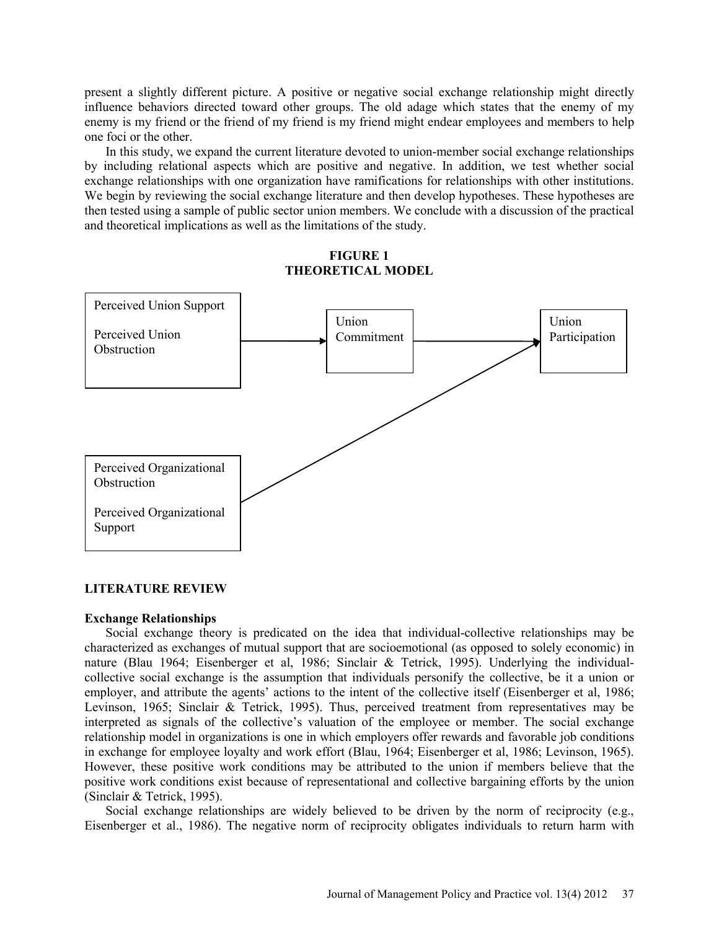present a slightly different picture. A positive or negative social exchange relationship might directly influence behaviors directed toward other groups. The old adage which states that the enemy of my enemy is my friend or the friend of my friend is my friend might endear employees and members to help one foci or the other.

In this study, we expand the current literature devoted to union-member social exchange relationships by including relational aspects which are positive and negative. In addition, we test whether social exchange relationships with one organization have ramifications for relationships with other institutions. We begin by reviewing the social exchange literature and then develop hypotheses. These hypotheses are then tested using a sample of public sector union members. We conclude with a discussion of the practical and theoretical implications as well as the limitations of the study.





### **LITERATURE REVIEW**

#### **Exchange Relationships**

Social exchange theory is predicated on the idea that individual-collective relationships may be characterized as exchanges of mutual support that are socioemotional (as opposed to solely economic) in nature (Blau 1964; Eisenberger et al, 1986; Sinclair & Tetrick, 1995). Underlying the individualcollective social exchange is the assumption that individuals personify the collective, be it a union or employer, and attribute the agents' actions to the intent of the collective itself (Eisenberger et al, 1986; Levinson, 1965; Sinclair & Tetrick, 1995). Thus, perceived treatment from representatives may be interpreted as signals of the collective's valuation of the employee or member. The social exchange relationship model in organizations is one in which employers offer rewards and favorable job conditions in exchange for employee loyalty and work effort (Blau, 1964; Eisenberger et al, 1986; Levinson, 1965). However, these positive work conditions may be attributed to the union if members believe that the positive work conditions exist because of representational and collective bargaining efforts by the union (Sinclair & Tetrick, 1995).

Social exchange relationships are widely believed to be driven by the norm of reciprocity (e.g., Eisenberger et al., 1986). The negative norm of reciprocity obligates individuals to return harm with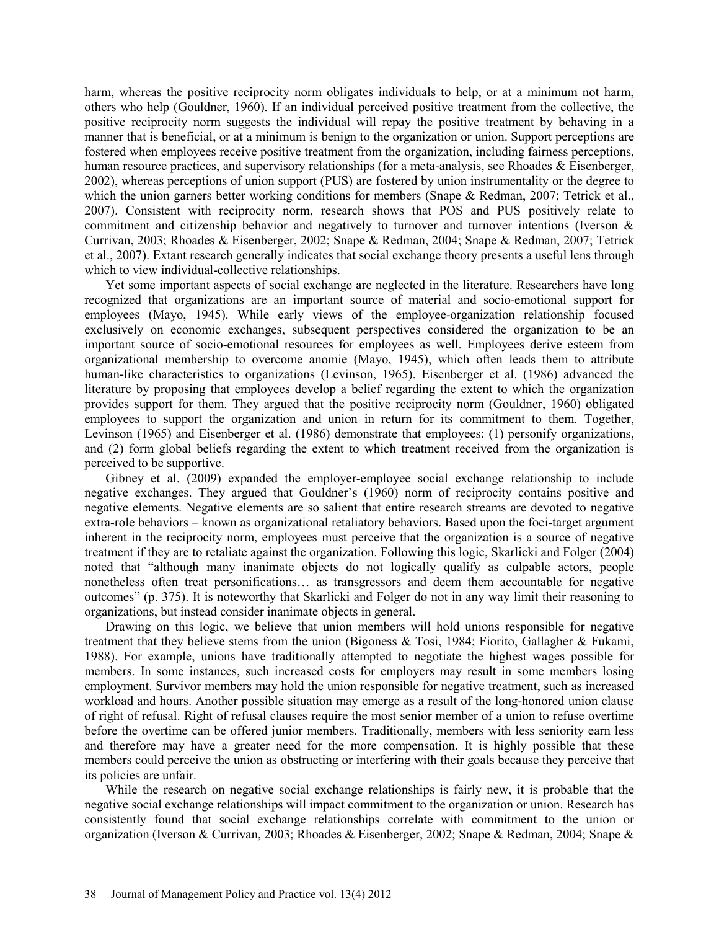harm, whereas the positive reciprocity norm obligates individuals to help, or at a minimum not harm, others who help (Gouldner, 1960). If an individual perceived positive treatment from the collective, the positive reciprocity norm suggests the individual will repay the positive treatment by behaving in a manner that is beneficial, or at a minimum is benign to the organization or union. Support perceptions are fostered when employees receive positive treatment from the organization, including fairness perceptions, human resource practices, and supervisory relationships (for a meta-analysis, see Rhoades & Eisenberger, 2002), whereas perceptions of union support (PUS) are fostered by union instrumentality or the degree to which the union garners better working conditions for members (Snape & Redman, 2007; Tetrick et al., 2007). Consistent with reciprocity norm, research shows that POS and PUS positively relate to commitment and citizenship behavior and negatively to turnover and turnover intentions (Iverson & Currivan, 2003; Rhoades & Eisenberger, 2002; Snape & Redman, 2004; Snape & Redman, 2007; Tetrick et al., 2007). Extant research generally indicates that social exchange theory presents a useful lens through which to view individual-collective relationships.

Yet some important aspects of social exchange are neglected in the literature. Researchers have long recognized that organizations are an important source of material and socio-emotional support for employees (Mayo, 1945). While early views of the employee-organization relationship focused exclusively on economic exchanges, subsequent perspectives considered the organization to be an important source of socio-emotional resources for employees as well. Employees derive esteem from organizational membership to overcome anomie (Mayo, 1945), which often leads them to attribute human-like characteristics to organizations (Levinson, 1965). Eisenberger et al. (1986) advanced the literature by proposing that employees develop a belief regarding the extent to which the organization provides support for them. They argued that the positive reciprocity norm (Gouldner, 1960) obligated employees to support the organization and union in return for its commitment to them. Together, Levinson (1965) and Eisenberger et al. (1986) demonstrate that employees: (1) personify organizations, and (2) form global beliefs regarding the extent to which treatment received from the organization is perceived to be supportive.

Gibney et al. (2009) expanded the employer-employee social exchange relationship to include negative exchanges. They argued that Gouldner's (1960) norm of reciprocity contains positive and negative elements. Negative elements are so salient that entire research streams are devoted to negative extra-role behaviors – known as organizational retaliatory behaviors. Based upon the foci-target argument inherent in the reciprocity norm, employees must perceive that the organization is a source of negative treatment if they are to retaliate against the organization. Following this logic, Skarlicki and Folger (2004) noted that "although many inanimate objects do not logically qualify as culpable actors, people nonetheless often treat personifications… as transgressors and deem them accountable for negative outcomes" (p. 375). It is noteworthy that Skarlicki and Folger do not in any way limit their reasoning to organizations, but instead consider inanimate objects in general.

Drawing on this logic, we believe that union members will hold unions responsible for negative treatment that they believe stems from the union (Bigoness & Tosi, 1984; Fiorito, Gallagher & Fukami, 1988). For example, unions have traditionally attempted to negotiate the highest wages possible for members. In some instances, such increased costs for employers may result in some members losing employment. Survivor members may hold the union responsible for negative treatment, such as increased workload and hours. Another possible situation may emerge as a result of the long-honored union clause of right of refusal. Right of refusal clauses require the most senior member of a union to refuse overtime before the overtime can be offered junior members. Traditionally, members with less seniority earn less and therefore may have a greater need for the more compensation. It is highly possible that these members could perceive the union as obstructing or interfering with their goals because they perceive that its policies are unfair.

While the research on negative social exchange relationships is fairly new, it is probable that the negative social exchange relationships will impact commitment to the organization or union. Research has consistently found that social exchange relationships correlate with commitment to the union or organization (Iverson & Currivan, 2003; Rhoades & Eisenberger, 2002; Snape & Redman, 2004; Snape &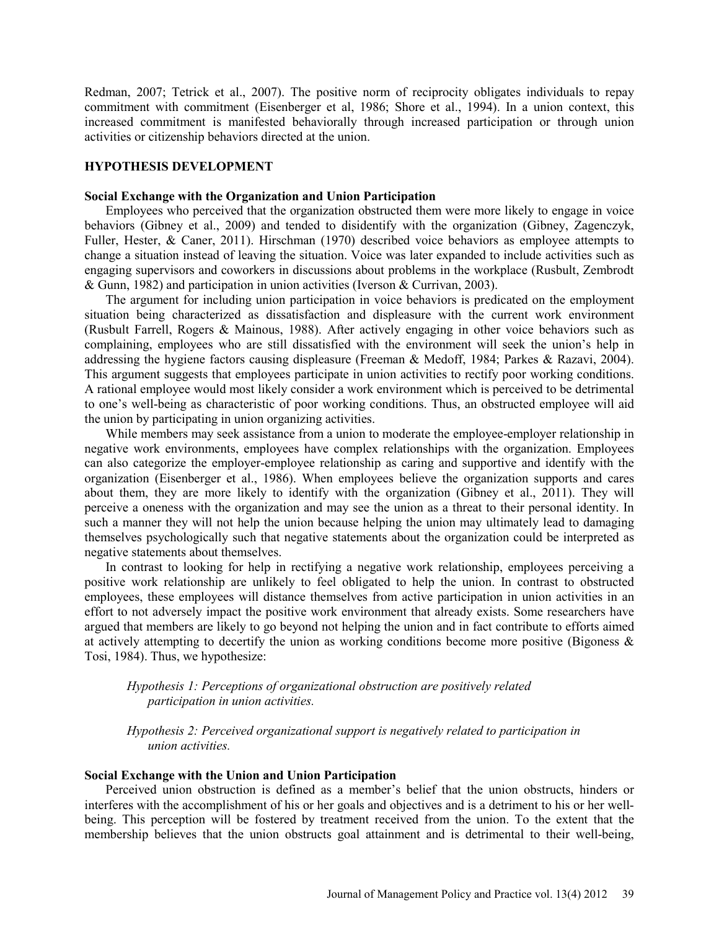Redman, 2007; Tetrick et al., 2007). The positive norm of reciprocity obligates individuals to repay commitment with commitment (Eisenberger et al, 1986; Shore et al., 1994). In a union context, this increased commitment is manifested behaviorally through increased participation or through union activities or citizenship behaviors directed at the union.

#### **HYPOTHESIS DEVELOPMENT**

## **Social Exchange with the Organization and Union Participation**

Employees who perceived that the organization obstructed them were more likely to engage in voice behaviors (Gibney et al., 2009) and tended to disidentify with the organization (Gibney, Zagenczyk, Fuller, Hester, & Caner, 2011). Hirschman (1970) described voice behaviors as employee attempts to change a situation instead of leaving the situation. Voice was later expanded to include activities such as engaging supervisors and coworkers in discussions about problems in the workplace (Rusbult, Zembrodt & Gunn, 1982) and participation in union activities (Iverson & Currivan, 2003).

The argument for including union participation in voice behaviors is predicated on the employment situation being characterized as dissatisfaction and displeasure with the current work environment (Rusbult Farrell, Rogers & Mainous, 1988). After actively engaging in other voice behaviors such as complaining, employees who are still dissatisfied with the environment will seek the union's help in addressing the hygiene factors causing displeasure (Freeman & Medoff, 1984; Parkes & Razavi, 2004). This argument suggests that employees participate in union activities to rectify poor working conditions. A rational employee would most likely consider a work environment which is perceived to be detrimental to one's well-being as characteristic of poor working conditions. Thus, an obstructed employee will aid the union by participating in union organizing activities.

While members may seek assistance from a union to moderate the employee-employer relationship in negative work environments, employees have complex relationships with the organization. Employees can also categorize the employer-employee relationship as caring and supportive and identify with the organization (Eisenberger et al., 1986). When employees believe the organization supports and cares about them, they are more likely to identify with the organization (Gibney et al., 2011). They will perceive a oneness with the organization and may see the union as a threat to their personal identity. In such a manner they will not help the union because helping the union may ultimately lead to damaging themselves psychologically such that negative statements about the organization could be interpreted as negative statements about themselves.

In contrast to looking for help in rectifying a negative work relationship, employees perceiving a positive work relationship are unlikely to feel obligated to help the union. In contrast to obstructed employees, these employees will distance themselves from active participation in union activities in an effort to not adversely impact the positive work environment that already exists. Some researchers have argued that members are likely to go beyond not helping the union and in fact contribute to efforts aimed at actively attempting to decertify the union as working conditions become more positive (Bigoness & Tosi, 1984). Thus, we hypothesize:

*Hypothesis 1: Perceptions of organizational obstruction are positively related participation in union activities.*

*Hypothesis 2: Perceived organizational support is negatively related to participation in union activities.* 

#### **Social Exchange with the Union and Union Participation**

Perceived union obstruction is defined as a member's belief that the union obstructs, hinders or interferes with the accomplishment of his or her goals and objectives and is a detriment to his or her wellbeing. This perception will be fostered by treatment received from the union. To the extent that the membership believes that the union obstructs goal attainment and is detrimental to their well-being,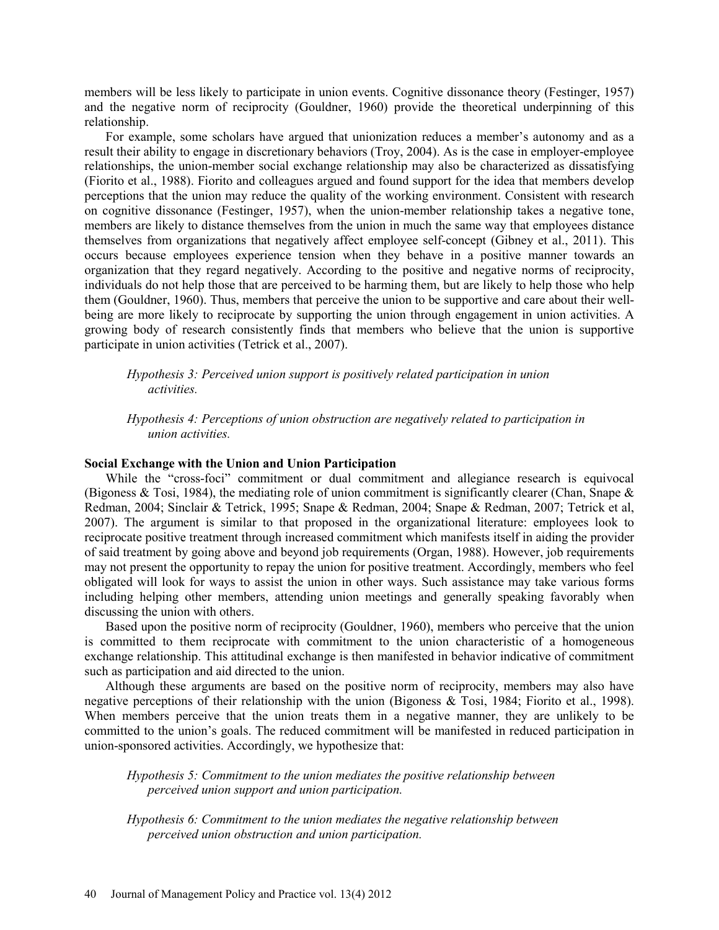members will be less likely to participate in union events. Cognitive dissonance theory (Festinger, 1957) and the negative norm of reciprocity (Gouldner, 1960) provide the theoretical underpinning of this relationship.

For example, some scholars have argued that unionization reduces a member's autonomy and as a result their ability to engage in discretionary behaviors (Troy, 2004). As is the case in employer-employee relationships, the union-member social exchange relationship may also be characterized as dissatisfying (Fiorito et al., 1988). Fiorito and colleagues argued and found support for the idea that members develop perceptions that the union may reduce the quality of the working environment. Consistent with research on cognitive dissonance (Festinger, 1957), when the union-member relationship takes a negative tone, members are likely to distance themselves from the union in much the same way that employees distance themselves from organizations that negatively affect employee self-concept (Gibney et al., 2011). This occurs because employees experience tension when they behave in a positive manner towards an organization that they regard negatively. According to the positive and negative norms of reciprocity, individuals do not help those that are perceived to be harming them, but are likely to help those who help them (Gouldner, 1960). Thus, members that perceive the union to be supportive and care about their wellbeing are more likely to reciprocate by supporting the union through engagement in union activities. A growing body of research consistently finds that members who believe that the union is supportive participate in union activities (Tetrick et al., 2007).

*Hypothesis 3: Perceived union support is positively related participation in union activities.*

*Hypothesis 4: Perceptions of union obstruction are negatively related to participation in union activities.* 

### **Social Exchange with the Union and Union Participation**

While the "cross-foci" commitment or dual commitment and allegiance research is equivocal (Bigoness & Tosi, 1984), the mediating role of union commitment is significantly clearer (Chan, Snape  $\&$ Redman, 2004; Sinclair & Tetrick, 1995; Snape & Redman, 2004; Snape & Redman, 2007; Tetrick et al, 2007). The argument is similar to that proposed in the organizational literature: employees look to reciprocate positive treatment through increased commitment which manifests itself in aiding the provider of said treatment by going above and beyond job requirements (Organ, 1988). However, job requirements may not present the opportunity to repay the union for positive treatment. Accordingly, members who feel obligated will look for ways to assist the union in other ways. Such assistance may take various forms including helping other members, attending union meetings and generally speaking favorably when discussing the union with others.

Based upon the positive norm of reciprocity (Gouldner, 1960), members who perceive that the union is committed to them reciprocate with commitment to the union characteristic of a homogeneous exchange relationship. This attitudinal exchange is then manifested in behavior indicative of commitment such as participation and aid directed to the union.

Although these arguments are based on the positive norm of reciprocity, members may also have negative perceptions of their relationship with the union (Bigoness & Tosi, 1984; Fiorito et al., 1998). When members perceive that the union treats them in a negative manner, they are unlikely to be committed to the union's goals. The reduced commitment will be manifested in reduced participation in union-sponsored activities. Accordingly, we hypothesize that:

*Hypothesis 5: Commitment to the union mediates the positive relationship between perceived union support and union participation.* 

*Hypothesis 6: Commitment to the union mediates the negative relationship between perceived union obstruction and union participation.*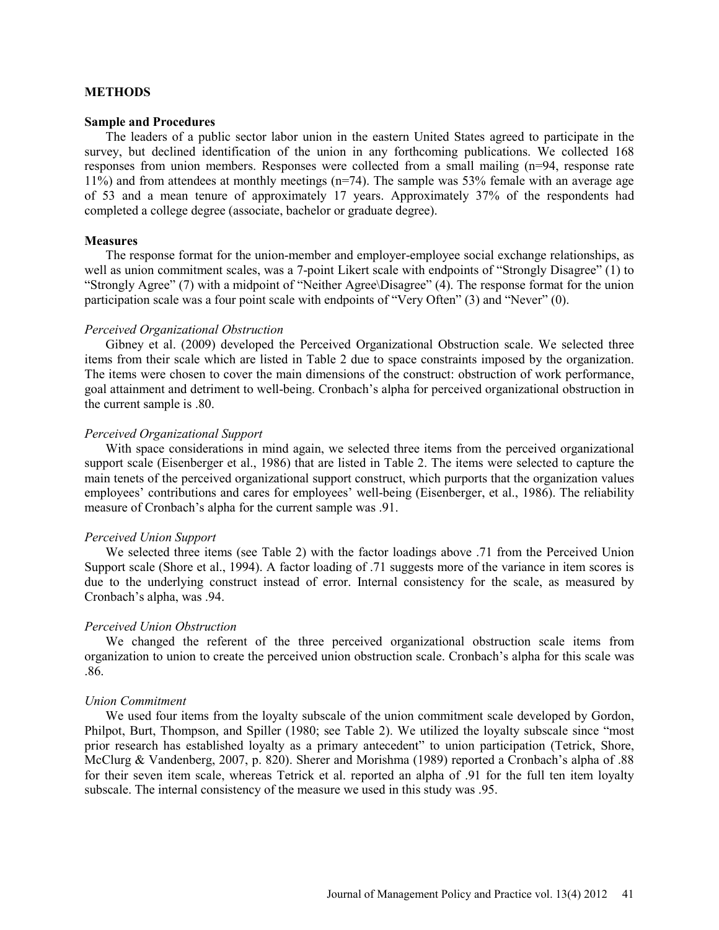#### **METHODS**

#### **Sample and Procedures**

The leaders of a public sector labor union in the eastern United States agreed to participate in the survey, but declined identification of the union in any forthcoming publications. We collected 168 responses from union members. Responses were collected from a small mailing (n=94, response rate 11%) and from attendees at monthly meetings (n=74). The sample was 53% female with an average age of 53 and a mean tenure of approximately 17 years. Approximately 37% of the respondents had completed a college degree (associate, bachelor or graduate degree).

## **Measures**

The response format for the union-member and employer-employee social exchange relationships, as well as union commitment scales, was a 7-point Likert scale with endpoints of "Strongly Disagree" (1) to "Strongly Agree" (7) with a midpoint of "Neither Agree\Disagree" (4). The response format for the union participation scale was a four point scale with endpoints of "Very Often" (3) and "Never" (0).

#### *Perceived Organizational Obstruction*

Gibney et al. (2009) developed the Perceived Organizational Obstruction scale. We selected three items from their scale which are listed in Table 2 due to space constraints imposed by the organization. The items were chosen to cover the main dimensions of the construct: obstruction of work performance, goal attainment and detriment to well-being. Cronbach's alpha for perceived organizational obstruction in the current sample is .80.

#### *Perceived Organizational Support*

With space considerations in mind again, we selected three items from the perceived organizational support scale (Eisenberger et al., 1986) that are listed in Table 2. The items were selected to capture the main tenets of the perceived organizational support construct, which purports that the organization values employees' contributions and cares for employees' well-being (Eisenberger, et al., 1986). The reliability measure of Cronbach's alpha for the current sample was .91.

### *Perceived Union Support*

We selected three items (see Table 2) with the factor loadings above .71 from the Perceived Union Support scale (Shore et al., 1994). A factor loading of .71 suggests more of the variance in item scores is due to the underlying construct instead of error. Internal consistency for the scale, as measured by Cronbach's alpha, was .94.

#### *Perceived Union Obstruction*

We changed the referent of the three perceived organizational obstruction scale items from organization to union to create the perceived union obstruction scale. Cronbach's alpha for this scale was .86.

#### *Union Commitment*

We used four items from the loyalty subscale of the union commitment scale developed by Gordon, Philpot, Burt, Thompson, and Spiller (1980; see Table 2). We utilized the loyalty subscale since "most prior research has established loyalty as a primary antecedent" to union participation (Tetrick, Shore, McClurg & Vandenberg, 2007, p. 820). Sherer and Morishma (1989) reported a Cronbach's alpha of .88 for their seven item scale, whereas Tetrick et al. reported an alpha of .91 for the full ten item loyalty subscale. The internal consistency of the measure we used in this study was .95.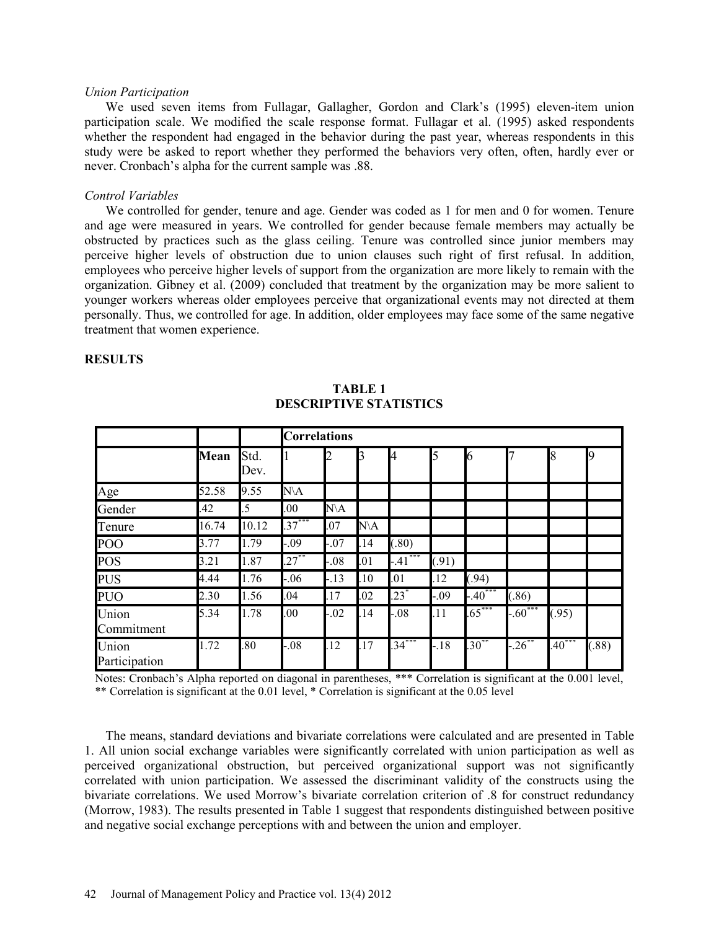#### *Union Participation*

We used seven items from Fullagar, Gallagher, Gordon and Clark's (1995) eleven-item union participation scale. We modified the scale response format. Fullagar et al. (1995) asked respondents whether the respondent had engaged in the behavior during the past year, whereas respondents in this study were be asked to report whether they performed the behaviors very often, often, hardly ever or never. Cronbach's alpha for the current sample was .88.

#### *Control Variables*

We controlled for gender, tenure and age. Gender was coded as 1 for men and 0 for women. Tenure and age were measured in years. We controlled for gender because female members may actually be obstructed by practices such as the glass ceiling. Tenure was controlled since junior members may perceive higher levels of obstruction due to union clauses such right of first refusal. In addition, employees who perceive higher levels of support from the organization are more likely to remain with the organization. Gibney et al. (2009) concluded that treatment by the organization may be more salient to younger workers whereas older employees perceive that organizational events may not directed at them personally. Thus, we controlled for age. In addition, older employees may face some of the same negative treatment that women experience.

#### **RESULTS**

|                        | <b>Mean</b> |              | <b>Correlations</b> |                |                |          |         |           |           |          |          |
|------------------------|-------------|--------------|---------------------|----------------|----------------|----------|---------|-----------|-----------|----------|----------|
|                        |             | Std.<br>Dev. |                     |                | ß              | 4        | 5       | 6         |           | 8        | <b>Q</b> |
| Age                    | 52.58       | 9.55         | $N\setminus A$      |                |                |          |         |           |           |          |          |
| Gender                 | 42          | .5           | 00.                 | $N\setminus A$ |                |          |         |           |           |          |          |
| Tenure                 | 16.74       | 10.12        | $.37***$            | .07            | $N\setminus A$ |          |         |           |           |          |          |
| POO                    | 3.77        | 1.79         | .09                 | $-07$          | .14            | (.80)    |         |           |           |          |          |
| <b>POS</b>             | 3.21        | 1.87         | $.27***$            | .08            | .01            | $-41$    | (.91)   |           |           |          |          |
| <b>PUS</b>             | 4.44        | 1.76         | $-06$               | $-13$          | .10            | .01      | 12      | (.94)     |           |          |          |
| <b>PUO</b>             | 2.30        | 1.56         | .04                 | 17             | .02            | $.23*$   | $-0.09$ | $-.40***$ | (.86)     |          |          |
| Union<br>Commitment    | 5.34        | 1.78         | .00                 | .02            | .14            | $-0.08$  | .11     | $.65***$  | $-.60***$ | (.95)    |          |
| Union<br>Participation | 1.72        | .80          | $-.08$              | .12            | .17            | $.34***$ | $-18$   | $.30***$  | $-26$ **  | $.40***$ | (.88)    |

# **TABLE 1 DESCRIPTIVE STATISTICS**

Notes: Cronbach's Alpha reported on diagonal in parentheses, \*\*\* Correlation is significant at the 0.001 level, \*\* Correlation is significant at the 0.01 level, \* Correlation is significant at the 0.05 level

The means, standard deviations and bivariate correlations were calculated and are presented in Table 1. All union social exchange variables were significantly correlated with union participation as well as perceived organizational obstruction, but perceived organizational support was not significantly correlated with union participation. We assessed the discriminant validity of the constructs using the bivariate correlations. We used Morrow's bivariate correlation criterion of .8 for construct redundancy (Morrow, 1983). The results presented in Table 1 suggest that respondents distinguished between positive and negative social exchange perceptions with and between the union and employer.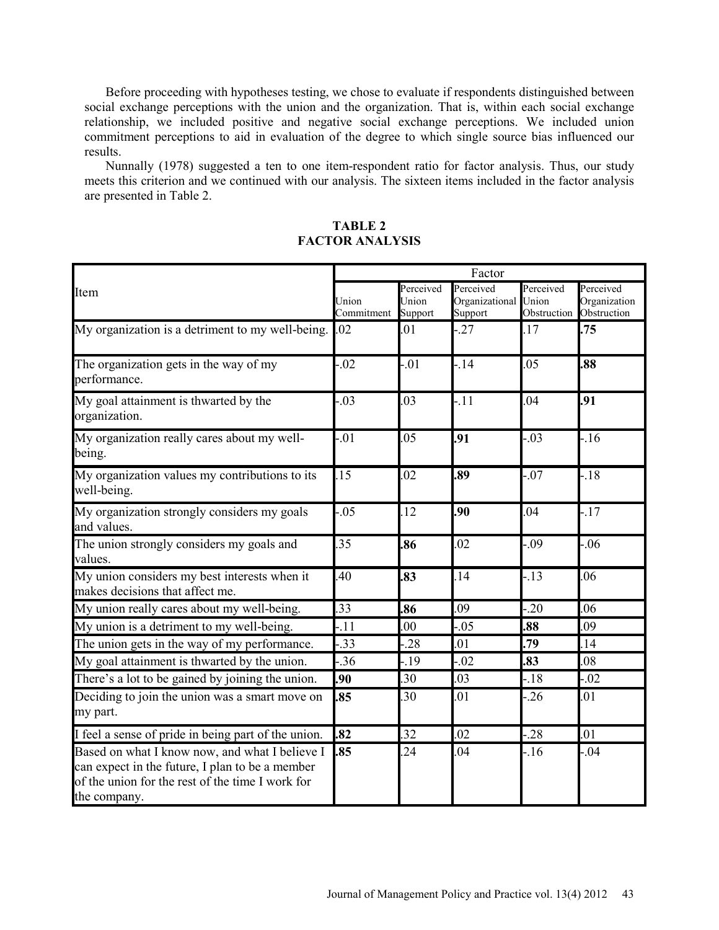Before proceeding with hypotheses testing, we chose to evaluate if respondents distinguished between social exchange perceptions with the union and the organization. That is, within each social exchange relationship, we included positive and negative social exchange perceptions. We included union commitment perceptions to aid in evaluation of the degree to which single source bias influenced our results.

Nunnally (1978) suggested a ten to one item-respondent ratio for factor analysis. Thus, our study meets this criterion and we continued with our analysis. The sixteen items included in the factor analysis are presented in Table 2.

**TABLE 2 FACTOR ANALYSIS**

|                                                                                                                                                                       | Factor              |                               |                                        |                                   |                                          |  |  |
|-----------------------------------------------------------------------------------------------------------------------------------------------------------------------|---------------------|-------------------------------|----------------------------------------|-----------------------------------|------------------------------------------|--|--|
| Item                                                                                                                                                                  | Union<br>Commitment | Perceived<br>Union<br>Support | Perceived<br>Organizational<br>Support | Perceived<br>Union<br>Obstruction | Perceived<br>Organization<br>Obstruction |  |  |
| My organization is a detriment to my well-being.                                                                                                                      | .02                 | .01                           | $-27$                                  | .17                               | .75                                      |  |  |
| The organization gets in the way of my<br>performance.                                                                                                                | $-02$               | $-0.01$                       | $-14$                                  | .05                               | .88                                      |  |  |
| My goal attainment is thwarted by the<br>organization.                                                                                                                | $-03$               | .03                           | $-11$                                  | .04                               | .91                                      |  |  |
| My organization really cares about my well-<br>being.                                                                                                                 | .01                 | .05                           | .91                                    | $-0.03$                           | $-16$                                    |  |  |
| My organization values my contributions to its<br>well-being.                                                                                                         | 15                  | .02                           | .89                                    | $-07$                             | $-.18$                                   |  |  |
| My organization strongly considers my goals<br>and values.                                                                                                            | $-0.05$             | 12                            | .90                                    | .04                               | $-17$                                    |  |  |
| The union strongly considers my goals and<br>values.                                                                                                                  | 35                  | .86                           | .02                                    | $-0.09$                           | $-0.06$                                  |  |  |
| My union considers my best interests when it<br>makes decisions that affect me.                                                                                       | 40                  | .83                           | .14                                    | $-13$                             | .06                                      |  |  |
| My union really cares about my well-being.                                                                                                                            | 33                  | .86                           | .09                                    | $-20$                             | .06                                      |  |  |
| My union is a detriment to my well-being.                                                                                                                             | $-11$               | .00                           | $-0.05$                                | .88                               | .09                                      |  |  |
| The union gets in the way of my performance.                                                                                                                          | .33                 | $-28$                         | .01                                    | .79                               | .14                                      |  |  |
| My goal attainment is thwarted by the union.                                                                                                                          | .36                 | $-19$                         | $-0.02$                                | .83                               | .08                                      |  |  |
| There's a lot to be gained by joining the union.                                                                                                                      | .90                 | 30                            | .03                                    | $-18$                             | $-0.02$                                  |  |  |
| Deciding to join the union was a smart move on<br>my part.                                                                                                            | 85                  | 30                            | .01                                    | $-26$                             | .01                                      |  |  |
| I feel a sense of pride in being part of the union.                                                                                                                   | .82                 | .32                           | .02                                    | $-28$                             | .01                                      |  |  |
| Based on what I know now, and what I believe I<br>can expect in the future, I plan to be a member<br>of the union for the rest of the time I work for<br>the company. | .85                 | 24                            | .04                                    | $-16$                             | $-0.04$                                  |  |  |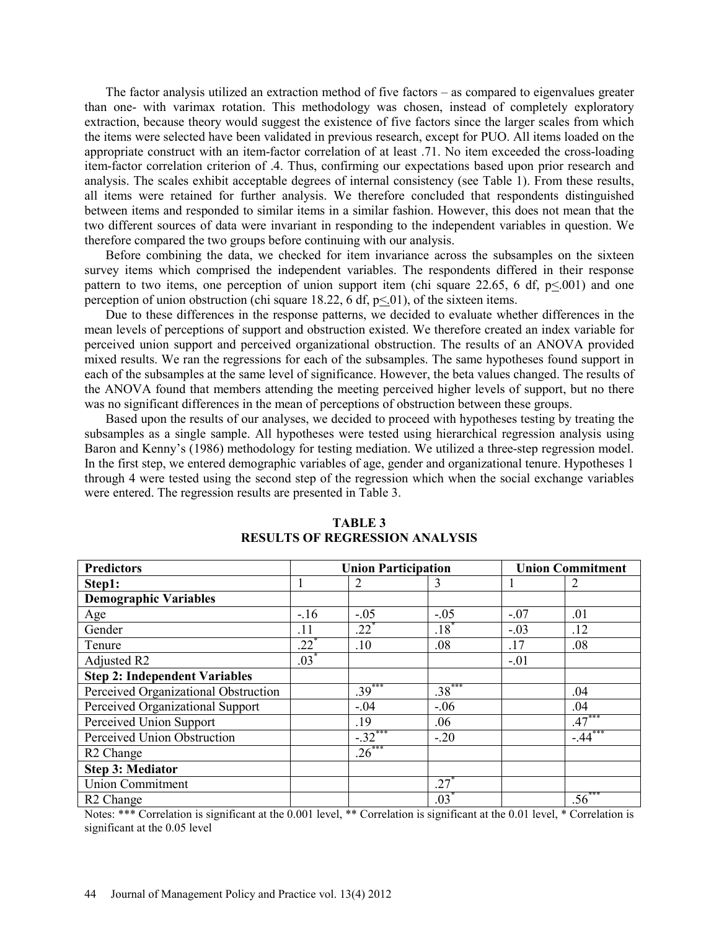The factor analysis utilized an extraction method of five factors – as compared to eigenvalues greater than one- with varimax rotation. This methodology was chosen, instead of completely exploratory extraction, because theory would suggest the existence of five factors since the larger scales from which the items were selected have been validated in previous research, except for PUO. All items loaded on the appropriate construct with an item-factor correlation of at least .71. No item exceeded the cross-loading item-factor correlation criterion of .4. Thus, confirming our expectations based upon prior research and analysis. The scales exhibit acceptable degrees of internal consistency (see Table 1). From these results, all items were retained for further analysis. We therefore concluded that respondents distinguished between items and responded to similar items in a similar fashion. However, this does not mean that the two different sources of data were invariant in responding to the independent variables in question. We therefore compared the two groups before continuing with our analysis.

Before combining the data, we checked for item invariance across the subsamples on the sixteen survey items which comprised the independent variables. The respondents differed in their response pattern to two items, one perception of union support item (chi square  $22.65$ , 6 df, p<.001) and one perception of union obstruction (chi square 18.22, 6 df,  $p<01$ ), of the sixteen items.

Due to these differences in the response patterns, we decided to evaluate whether differences in the mean levels of perceptions of support and obstruction existed. We therefore created an index variable for perceived union support and perceived organizational obstruction. The results of an ANOVA provided mixed results. We ran the regressions for each of the subsamples. The same hypotheses found support in each of the subsamples at the same level of significance. However, the beta values changed. The results of the ANOVA found that members attending the meeting perceived higher levels of support, but no there was no significant differences in the mean of perceptions of obstruction between these groups.

Based upon the results of our analyses, we decided to proceed with hypotheses testing by treating the subsamples as a single sample. All hypotheses were tested using hierarchical regression analysis using Baron and Kenny's (1986) methodology for testing mediation. We utilized a three-step regression model. In the first step, we entered demographic variables of age, gender and organizational tenure. Hypotheses 1 through 4 were tested using the second step of the regression which when the social exchange variables were entered. The regression results are presented in Table 3.

| <b>Predictors</b>                    |          | <b>Union Participation</b> |          | <b>Union Commitment</b> |                      |  |
|--------------------------------------|----------|----------------------------|----------|-------------------------|----------------------|--|
| Step1:                               |          | 2                          | 3        |                         |                      |  |
| <b>Demographic Variables</b>         |          |                            |          |                         |                      |  |
| Age                                  | $-.16$   | $-.05$                     | $-.05$   | $-.07$                  | .01                  |  |
| Gender                               | .11      | $.22*$                     | $.18*$   | $-.03$                  | .12                  |  |
| Tenure                               | $22^{*}$ | .10                        | .08      | .17                     | .08                  |  |
| Adjusted R2                          | $.03*$   |                            |          | $-.01$                  |                      |  |
| <b>Step 2: Independent Variables</b> |          |                            |          |                         |                      |  |
| Perceived Organizational Obstruction |          | $.39***$                   | $.38***$ |                         | .04                  |  |
| Perceived Organizational Support     |          | $-.04$                     | $-.06$   |                         | .04                  |  |
| Perceived Union Support              |          | .19                        | .06      |                         | $.47***$             |  |
| Perceived Union Obstruction          |          | $-.32***$                  | $-.20$   |                         | $-44$ <sup>***</sup> |  |
| R <sub>2</sub> Change                |          | $.26***$                   |          |                         |                      |  |
| <b>Step 3: Mediator</b>              |          |                            |          |                         |                      |  |
| <b>Union Commitment</b>              |          |                            | .27'     |                         |                      |  |
| R <sub>2</sub> Change                |          |                            | $.03*$   |                         | $.56***$             |  |

### **TABLE 3 RESULTS OF REGRESSION ANALYSIS**

Notes: \*\*\* Correlation is significant at the 0.001 level, \*\* Correlation is significant at the 0.01 level, \* Correlation is significant at the 0.05 level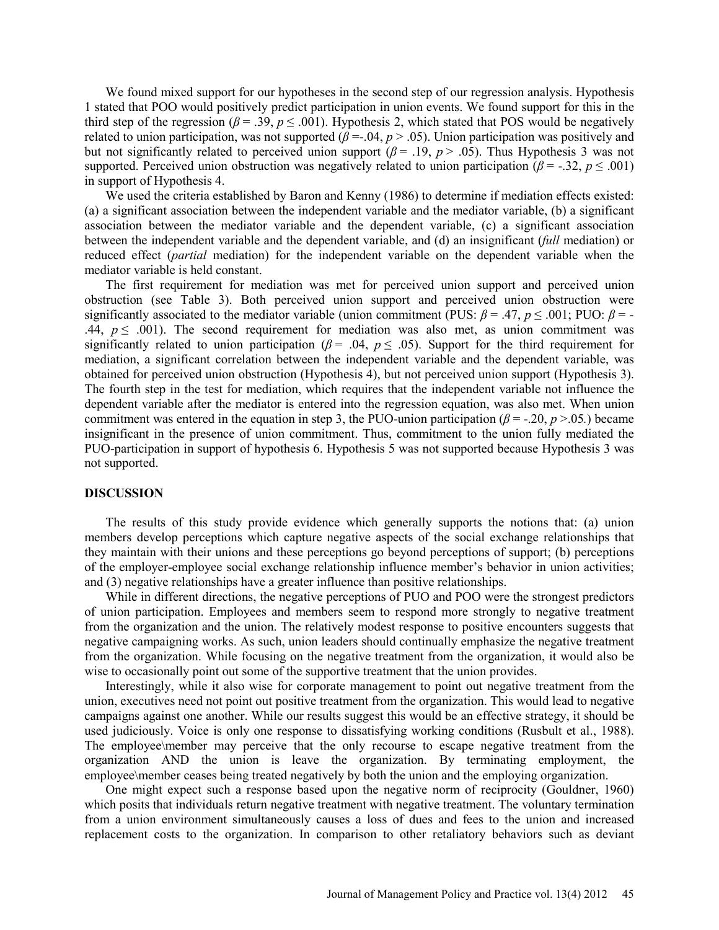We found mixed support for our hypotheses in the second step of our regression analysis. Hypothesis 1 stated that POO would positively predict participation in union events. We found support for this in the third step of the regression ( $\beta$  = .39,  $p \leq$  .001). Hypothesis 2, which stated that POS would be negatively related to union participation, was not supported  $(\beta = 0.04, p > 0.05)$ . Union participation was positively and but not significantly related to perceived union support  $(\beta = .19, p > .05)$ . Thus Hypothesis 3 was not supported. Perceived union obstruction was negatively related to union participation ( $\beta$  = -.32,  $p \leq .001$ ) in support of Hypothesis 4.

We used the criteria established by Baron and Kenny (1986) to determine if mediation effects existed: (a) a significant association between the independent variable and the mediator variable, (b) a significant association between the mediator variable and the dependent variable, (c) a significant association between the independent variable and the dependent variable, and (d) an insignificant (*full* mediation) or reduced effect (*partial* mediation) for the independent variable on the dependent variable when the mediator variable is held constant.

The first requirement for mediation was met for perceived union support and perceived union obstruction (see Table 3). Both perceived union support and perceived union obstruction were significantly associated to the mediator variable (union commitment (PUS:  $\beta = .47$ ,  $p \le .001$ ; PUO:  $\beta = -$ .44,  $p \leq 0.001$ ). The second requirement for mediation was also met, as union commitment was significantly related to union participation ( $\beta$  = .04,  $p \leq$  .05). Support for the third requirement for mediation, a significant correlation between the independent variable and the dependent variable, was obtained for perceived union obstruction (Hypothesis 4), but not perceived union support (Hypothesis 3). The fourth step in the test for mediation, which requires that the independent variable not influence the dependent variable after the mediator is entered into the regression equation, was also met. When union commitment was entered in the equation in step 3, the PUO-union participation  $(\beta = -0.20, p > 0.05)$  became insignificant in the presence of union commitment. Thus, commitment to the union fully mediated the PUO-participation in support of hypothesis 6. Hypothesis 5 was not supported because Hypothesis 3 was not supported.

### **DISCUSSION**

The results of this study provide evidence which generally supports the notions that: (a) union members develop perceptions which capture negative aspects of the social exchange relationships that they maintain with their unions and these perceptions go beyond perceptions of support; (b) perceptions of the employer-employee social exchange relationship influence member's behavior in union activities; and (3) negative relationships have a greater influence than positive relationships.

While in different directions, the negative perceptions of PUO and POO were the strongest predictors of union participation. Employees and members seem to respond more strongly to negative treatment from the organization and the union. The relatively modest response to positive encounters suggests that negative campaigning works. As such, union leaders should continually emphasize the negative treatment from the organization. While focusing on the negative treatment from the organization, it would also be wise to occasionally point out some of the supportive treatment that the union provides.

Interestingly, while it also wise for corporate management to point out negative treatment from the union, executives need not point out positive treatment from the organization. This would lead to negative campaigns against one another. While our results suggest this would be an effective strategy, it should be used judiciously. Voice is only one response to dissatisfying working conditions (Rusbult et al., 1988). The employee\member may perceive that the only recourse to escape negative treatment from the organization AND the union is leave the organization. By terminating employment, the employee\member ceases being treated negatively by both the union and the employing organization.

One might expect such a response based upon the negative norm of reciprocity (Gouldner, 1960) which posits that individuals return negative treatment with negative treatment. The voluntary termination from a union environment simultaneously causes a loss of dues and fees to the union and increased replacement costs to the organization. In comparison to other retaliatory behaviors such as deviant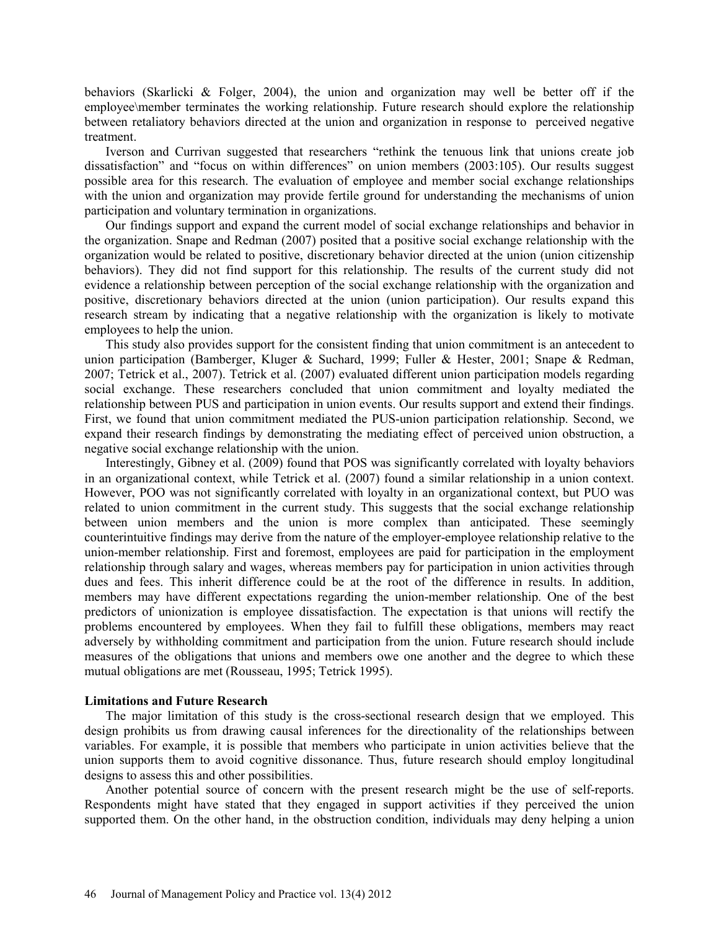behaviors (Skarlicki & Folger, 2004), the union and organization may well be better off if the employee\member terminates the working relationship. Future research should explore the relationship between retaliatory behaviors directed at the union and organization in response to perceived negative treatment.

Iverson and Currivan suggested that researchers "rethink the tenuous link that unions create job dissatisfaction" and "focus on within differences" on union members (2003:105). Our results suggest possible area for this research. The evaluation of employee and member social exchange relationships with the union and organization may provide fertile ground for understanding the mechanisms of union participation and voluntary termination in organizations.

Our findings support and expand the current model of social exchange relationships and behavior in the organization. Snape and Redman (2007) posited that a positive social exchange relationship with the organization would be related to positive, discretionary behavior directed at the union (union citizenship behaviors). They did not find support for this relationship. The results of the current study did not evidence a relationship between perception of the social exchange relationship with the organization and positive, discretionary behaviors directed at the union (union participation). Our results expand this research stream by indicating that a negative relationship with the organization is likely to motivate employees to help the union.

This study also provides support for the consistent finding that union commitment is an antecedent to union participation (Bamberger, Kluger & Suchard, 1999; Fuller & Hester, 2001; Snape & Redman, 2007; Tetrick et al., 2007). Tetrick et al. (2007) evaluated different union participation models regarding social exchange. These researchers concluded that union commitment and loyalty mediated the relationship between PUS and participation in union events. Our results support and extend their findings. First, we found that union commitment mediated the PUS-union participation relationship. Second, we expand their research findings by demonstrating the mediating effect of perceived union obstruction, a negative social exchange relationship with the union.

Interestingly, Gibney et al. (2009) found that POS was significantly correlated with loyalty behaviors in an organizational context, while Tetrick et al. (2007) found a similar relationship in a union context. However, POO was not significantly correlated with loyalty in an organizational context, but PUO was related to union commitment in the current study. This suggests that the social exchange relationship between union members and the union is more complex than anticipated. These seemingly counterintuitive findings may derive from the nature of the employer-employee relationship relative to the union-member relationship. First and foremost, employees are paid for participation in the employment relationship through salary and wages, whereas members pay for participation in union activities through dues and fees. This inherit difference could be at the root of the difference in results. In addition, members may have different expectations regarding the union-member relationship. One of the best predictors of unionization is employee dissatisfaction. The expectation is that unions will rectify the problems encountered by employees. When they fail to fulfill these obligations, members may react adversely by withholding commitment and participation from the union. Future research should include measures of the obligations that unions and members owe one another and the degree to which these mutual obligations are met (Rousseau, 1995; Tetrick 1995).

#### **Limitations and Future Research**

The major limitation of this study is the cross-sectional research design that we employed. This design prohibits us from drawing causal inferences for the directionality of the relationships between variables. For example, it is possible that members who participate in union activities believe that the union supports them to avoid cognitive dissonance. Thus, future research should employ longitudinal designs to assess this and other possibilities.

Another potential source of concern with the present research might be the use of self-reports. Respondents might have stated that they engaged in support activities if they perceived the union supported them. On the other hand, in the obstruction condition, individuals may deny helping a union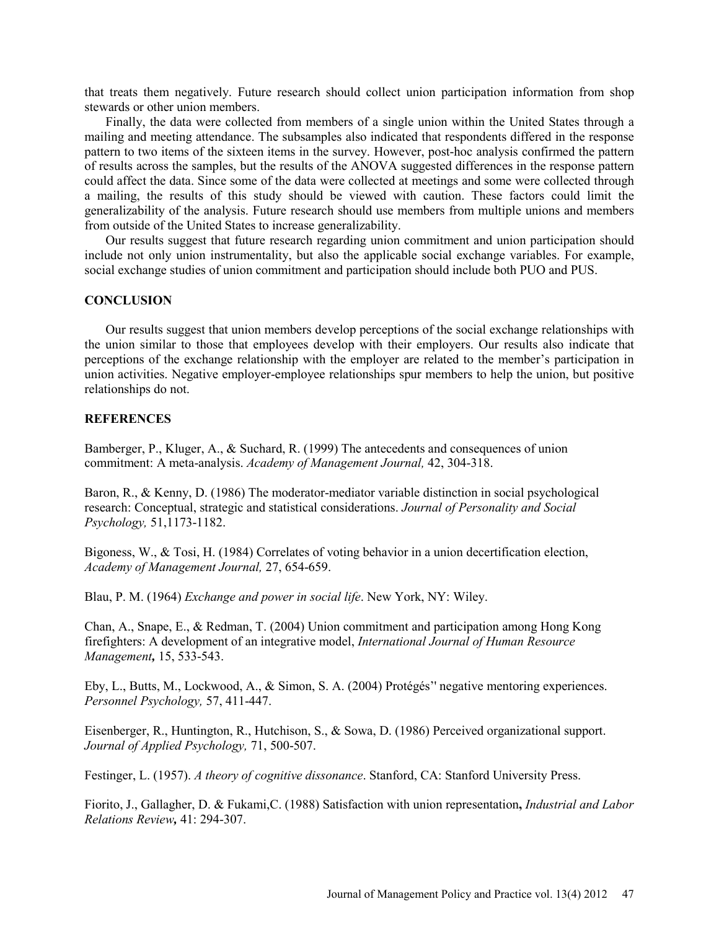that treats them negatively. Future research should collect union participation information from shop stewards or other union members.

Finally, the data were collected from members of a single union within the United States through a mailing and meeting attendance. The subsamples also indicated that respondents differed in the response pattern to two items of the sixteen items in the survey. However, post-hoc analysis confirmed the pattern of results across the samples, but the results of the ANOVA suggested differences in the response pattern could affect the data. Since some of the data were collected at meetings and some were collected through a mailing, the results of this study should be viewed with caution. These factors could limit the generalizability of the analysis. Future research should use members from multiple unions and members from outside of the United States to increase generalizability.

Our results suggest that future research regarding union commitment and union participation should include not only union instrumentality, but also the applicable social exchange variables. For example, social exchange studies of union commitment and participation should include both PUO and PUS.

### **CONCLUSION**

Our results suggest that union members develop perceptions of the social exchange relationships with the union similar to those that employees develop with their employers. Our results also indicate that perceptions of the exchange relationship with the employer are related to the member's participation in union activities. Negative employer-employee relationships spur members to help the union, but positive relationships do not.

## **REFERENCES**

Bamberger, P., Kluger, A., & Suchard, R. (1999) The antecedents and consequences of union commitment: A meta-analysis. *Academy of Management Journal,* 42, 304-318.

Baron, R., & Kenny, D. (1986) The moderator-mediator variable distinction in social psychological research: Conceptual, strategic and statistical considerations. *Journal of Personality and Social Psychology,* 51,1173-1182.

Bigoness, W., & Tosi, H. (1984) Correlates of voting behavior in a union decertification election, *Academy of Management Journal,* 27, 654-659.

Blau, P. M. (1964) *Exchange and power in social life*. New York, NY: Wiley.

Chan, A., Snape, E., & Redman, T. (2004) Union commitment and participation among Hong Kong firefighters: A development of an integrative model, *International Journal of Human Resource Management,* 15, 533-543.

Eby, L., Butts, M., Lockwood, A., & Simon, S. A. (2004) Protégés'' negative mentoring experiences. *Personnel Psychology,* 57, 411-447.

Eisenberger, R., Huntington, R., Hutchison, S., & Sowa, D. (1986) Perceived organizational support. *Journal of Applied Psychology,* 71, 500-507.

Festinger, L. (1957). *A theory of cognitive dissonance*. Stanford, CA: Stanford University Press.

Fiorito, J., Gallagher, D. & Fukami,C. (1988) Satisfaction with union representation**,** *Industrial and Labor Relations Review,* 41: 294-307.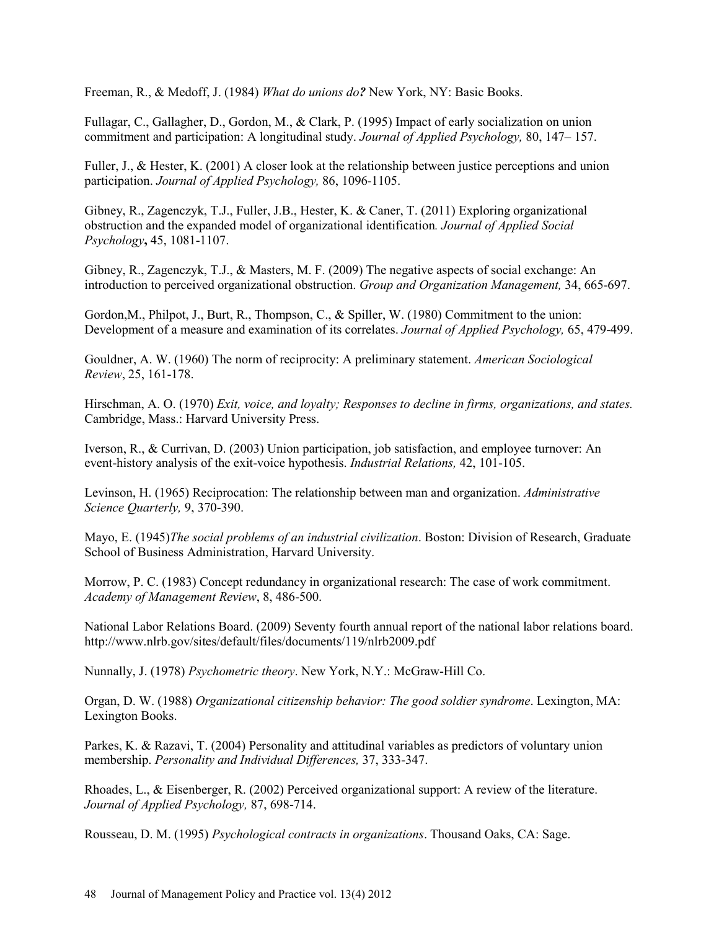Freeman, R., & Medoff, J. (1984) *What do unions do?* New York, NY: Basic Books.

Fullagar, C., Gallagher, D., Gordon, M., & Clark, P. (1995) Impact of early socialization on union commitment and participation: A longitudinal study. *Journal of Applied Psychology,* 80, 147– 157.

Fuller, J., & Hester, K. (2001) A closer look at the relationship between justice perceptions and union participation. *Journal of Applied Psychology,* 86, 1096-1105.

Gibney, R., Zagenczyk, T.J., Fuller, J.B., Hester, K. & Caner, T. (2011) Exploring organizational obstruction and the expanded model of organizational identification*. Journal of Applied Social Psychology***,** 45, 1081-1107.

Gibney, R., Zagenczyk, T.J., & Masters, M. F. (2009) The negative aspects of social exchange: An introduction to perceived organizational obstruction. *Group and Organization Management,* 34, 665-697.

Gordon,M., Philpot, J., Burt, R., Thompson, C., & Spiller, W. (1980) Commitment to the union: Development of a measure and examination of its correlates. *Journal of Applied Psychology,* 65, 479-499.

Gouldner, A. W. (1960) The norm of reciprocity: A preliminary statement. *American Sociological Review*, 25, 161-178.

Hirschman, A. O. (1970) *Exit, voice, and loyalty; Responses to decline in firms, organizations, and states.*  Cambridge, Mass.: Harvard University Press.

Iverson, R., & Currivan, D. (2003) Union participation, job satisfaction, and employee turnover: An event-history analysis of the exit-voice hypothesis. *Industrial Relations,* 42, 101-105.

Levinson, H. (1965) Reciprocation: The relationship between man and organization. *Administrative Science Quarterly,* 9, 370-390.

Mayo, E. (1945)*The social problems of an industrial civilization*. Boston: Division of Research, Graduate School of Business Administration, Harvard University.

Morrow, P. C. (1983) Concept redundancy in organizational research: The case of work commitment. *Academy of Management Review*, 8, 486-500.

National Labor Relations Board. (2009) Seventy fourth annual report of the national labor relations board. http://www.nlrb.gov/sites/default/files/documents/119/nlrb2009.pdf

Nunnally, J. (1978) *Psychometric theory*. New York, N.Y.: McGraw-Hill Co.

Organ, D. W. (1988) *Organizational citizenship behavior: The good soldier syndrome*. Lexington, MA: Lexington Books.

Parkes, K. & Razavi, T. (2004) Personality and attitudinal variables as predictors of voluntary union membership. *Personality and Individual Differences,* 37, 333-347.

Rhoades, L., & Eisenberger, R. (2002) Perceived organizational support: A review of the literature. *Journal of Applied Psychology,* 87, 698-714.

Rousseau, D. M. (1995) *Psychological contracts in organizations*. Thousand Oaks, CA: Sage.